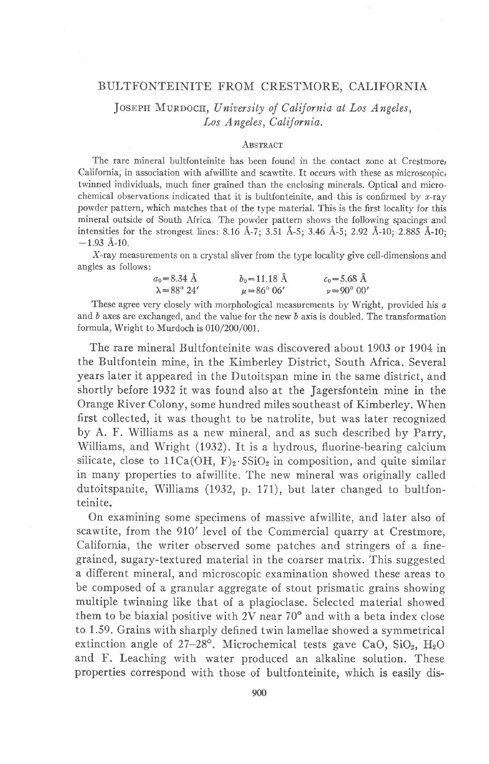## BULTFONTEINITE FROM CRESTMORE, CALIFORNIA

JOSEPH MURDOCH, University of California at Los Angeles, Los Angeles, California.

### **ABSTRACT**

The rare mineral bultfonteinite has been found in the contact zone at Cresrmore, California, in association with afwillite and scawtite. It occurs with these as microscopic, twinned individuals, much finer grained than the enclosing minerals. Opticai and microchemical observations indicated that it is bultfonteinite, and this is confirmed by  $x$ -ray powder pattern, which matches that of the type material. This is the first locality for this mineral outside of South Africa The powder pattern shows the following spacings and intensities for the strongest lines: 8.16 Å-7; 3.51 Å-5; 3.46 Å-5; 2.92 Å-10; 2.885 Å-10;  $-1.93$  Å-10.

X-ray measurements on a crystal sliver from the type locality give cell-dimensions and angles as follows:

| $a_0 = 8.34$ Å             | $b_0 = 11.18$ Å        | $c_0 = 5.68 \text{ Å}$ |
|----------------------------|------------------------|------------------------|
| $\lambda = 88^{\circ} 24'$ | $\mu = 86^{\circ} 06'$ | $v = 90^{\circ} 00'$   |

These agree very closely with morphological measurements by Wright, provided his  $a$ and b axes are exchanged, and the value for the new b axis is doubled. The transformation formula, Wright to Murdoch is  $010/200/001$ .

The rare mineral Bultfonteinite was discovered about 1903 or 1904 in the Bultfontein mine, in the Kimberley District, South Africa. Several years later it appeared in the Dutoitspan mine in the same district, and shortly before 1932 it was found also at the Jagersfontein mine in the Orange River Colony, some hundred miles southeast of Kimberley. When first collected, it was thought to be natrolite, but was later recognized by A. F. Williams as a new mineral, and as such described by Parry, Williams, and Wright (1932). It is a hydrous, fluorine-bearing calcium silicate, close to  $11Ca(OH, F)_2.5SiO_2$  in composition, and quite similar in many properties to afwillite. The new mineral was originally called dutoitspanite, Williams (1932, p. 171), but later changed to bultfonteinite.

On examining some specimens of massive afwillite, and later also of scawtite, from the 910' level of the Commercial quarry at Crestmore, California, the writer observed some patches and stringers of a finegrained, sugary-textured material in the coarser matrix. This suggested a difierent mineral, and microscopic examination showed these areas to be composed of a granular aggregate of stout prismatic grains showing multiple twinning like that of a plagioclase. Selected material showed them to be biaxial positive with  $2V$  near  $70^{\circ}$  and with a beta index close to 1.59. Grains with sharply defined twin lamellae showed a symmetrical extinction angle of  $27-28^\circ$ . Microchemical tests gave CaO, SiO<sub>2</sub>, H<sub>2</sub>O and F. Leaching with water produced an alkaline solution. These properties correspond with those of bultfonteinite, which is easily dis-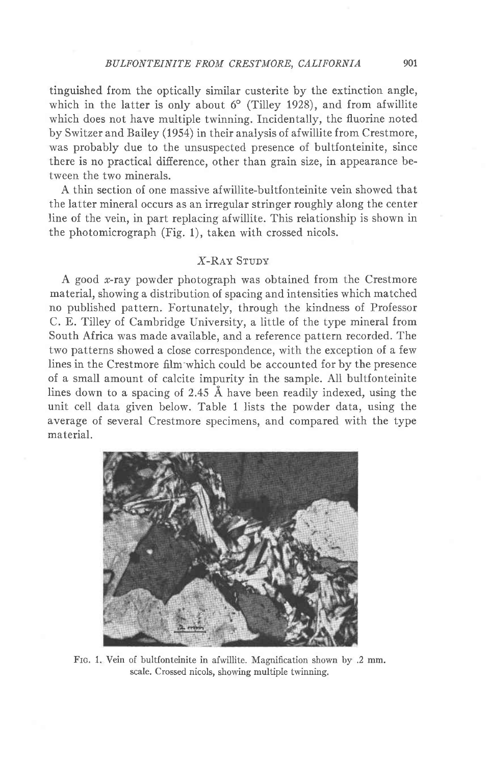tinguished from the optically similar custerite by the extinction angle, which in the latter is only about  $6^{\circ}$  (Tilley 1928), and from afwillite which does not have multiple twinning. Incidentally, the fluorine noted by Switzer and Bailey (1954) in their anaiysis of afwillite from Crestmore, was probably due to the unsuspected presence of bultfonteinite, since there is no practical difference, other than grain size, in appearance between the two minerais.

A thin section of one massive afwillite-buitfonteinite vein showed that the latter mineral occurs as an irregular stringer roughly along the center line of the vein, in part replacing afwillite. This relationship is shown in the photomicrograph (Fig. 1), taken with crossed nicols.

# X-Rav Srupv

A good  $x$ -ray powder photograph was obtained from the Crestmore material, showing a distribution of spacing and intensities which matched no published pattern. Fortunately, through the kindness of Professor C. E. Tilley of Cambridge University, a little of the type mineral from South Africa was made available, and a reference pattern recorded. The two patterns showed a close correspondence, with the exception of a few lines in the Crestmore film'which could be accounted for by the presence of a small amount of calcite impurity in the sample. All bultfonteinite lines down to a spacing of 2.45  $\AA$  have been readily indexed, using the unit cell data given below. Table 1 lists the powder data, using the average of several Crestmore specimens, and compared with the type material.



FIG. 1. Vein of bultfonteinite in afwillite. Magnification shown by .2 mm. scale. Crossed nicols, showing multiple twinning.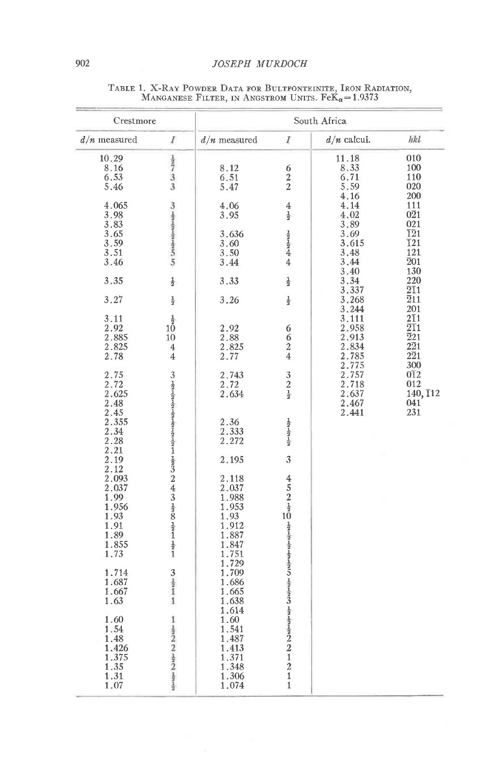| Crestmore                                                       |                                                                                                                    | South Africa                                                        |                                                                   |                                                               |                                                                                                             |
|-----------------------------------------------------------------|--------------------------------------------------------------------------------------------------------------------|---------------------------------------------------------------------|-------------------------------------------------------------------|---------------------------------------------------------------|-------------------------------------------------------------------------------------------------------------|
| $d/n$ measured                                                  | ľ                                                                                                                  | $d/n$ measured                                                      | I                                                                 | $d/n$ calcul.                                                 | hkl                                                                                                         |
| 10.29<br>8.16<br>6.53<br>5.46                                   | $\frac{1}{2}$<br>$\frac{1}{3}$                                                                                     | 8.12<br>6.51<br>5.47                                                | 6<br>$\overline{2}$<br>$\bar{2}$                                  | 11.18<br>8.33<br>6.71<br>5.59                                 | 010<br>100<br>110<br>020                                                                                    |
| 4.065<br>3.98<br>3.83<br>3.65<br>3.59<br>3.51<br>3.46           | Solution of the Content Co                                                                                         | 4.06<br>3.95<br>3.636<br>3.60<br>3.50<br>3.44                       | 4<br>$\frac{1}{2}$<br>$\frac{1}{2}$<br>4<br>$\overline{4}$        | 4.16<br>4.14<br>4.02<br>3.89<br>3.69<br>3.615<br>3.48<br>3.44 | 200<br>111<br>$0\overline{2}1$<br>021<br>$\overline{121}$<br>$\overline{1}21$<br>121<br>$\overline{2}01$    |
| 3.35                                                            | $\frac{1}{2}$                                                                                                      | 3.33                                                                | $\frac{1}{2}$                                                     | 3.40<br>3.34                                                  | 130<br>220                                                                                                  |
| 3.27                                                            | $\frac{1}{2}$                                                                                                      | 3.26                                                                | $\frac{1}{2}$                                                     | 3.337<br>3.268<br>3.244                                       | $2\overline{1}1$<br>$\overline{2}11$<br>201                                                                 |
| 3.11<br>2.92<br>2.885<br>2.825<br>2.78                          | $\frac{1}{2}$<br>$1\bar{0}$<br>10<br>$\overline{4}$<br>$\overline{4}$                                              | 2.92<br>2.88<br>2.825<br>2.77                                       | 6<br>6<br>$\overline{a}$<br>$\overline{4}$                        | 3.111<br>2.958<br>2.913<br>2.834<br>2.785                     | $2\overline{1}1$<br>$\overline{2}\overline{1}1$<br>$\overline{2}21$<br>$2\overline{2}1$<br>$2\overline{2}1$ |
| 2.75<br>2.72<br>2.625<br>2.48                                   |                                                                                                                    | 2.743<br>2.72<br>2.634                                              | 3<br>$\tilde{2}$<br>$\frac{1}{2}$                                 | 2.775<br>2.757<br>2.718<br>2.637<br>2.467                     | 300<br>012<br>012<br>140, 112<br>041                                                                        |
| 2.45<br>2.355<br>2.34<br>2.28<br>2.21                           |                                                                                                                    | 2.36<br>2.333<br>2.272                                              | $\frac{1}{2}$                                                     | 2.441                                                         | 231                                                                                                         |
| 2.19<br>2.12<br>2.093<br>2.037<br>1.99<br>1.956<br>1.93<br>1.91 | 3191818191919191919191932431924                                                                                    | 2.195<br>2.118<br>2.037<br>1.988<br>1.953<br>1.93<br>1.912          | 3<br>4<br>$\overline{5}$<br>$\overline{2}$<br>$\frac{1}{2}$<br>10 |                                                               |                                                                                                             |
| 1.89<br>1.855<br>1.73<br>1.714                                  | $\frac{1}{2}$                                                                                                      | 1.887<br>1.847<br>1.751<br>1.729<br>1.709                           | $\frac{1}{2}$                                                     |                                                               |                                                                                                             |
| 1.687<br>1.667<br>1.63                                          | $3/2$<br>$1/2$<br>$\mathbf{1}$                                                                                     | 1.686<br>1.665<br>1.638<br>1.614                                    |                                                                   |                                                               |                                                                                                             |
| 1.60<br>1.54<br>1.48<br>1.426<br>1.375<br>1.35<br>1.31<br>1.07  | $\mathbf{1}$<br>$\frac{1}{2}$<br>$\frac{1}{2}$<br>$\frac{1}{2}$<br>$\frac{1}{2}$<br>$\frac{1}{2}$<br>$\frac{1}{2}$ | 1.60<br>1.541<br>1.487<br>1.413<br>1.371<br>1.348<br>1.306<br>1.074 | $\mathbf{1}$<br>$\overline{2}$<br>$\mathbf 1$<br>$\mathbf{1}$     |                                                               |                                                                                                             |

# TABLE 1. X-RAY POWDER DATA FOR BULTFONTEINITE, IRON RADIATION, MANGANESE FILTER, IN ANGSTROM UNITS.  $\mathrm{Fek}_\alpha\!=\!1.9373$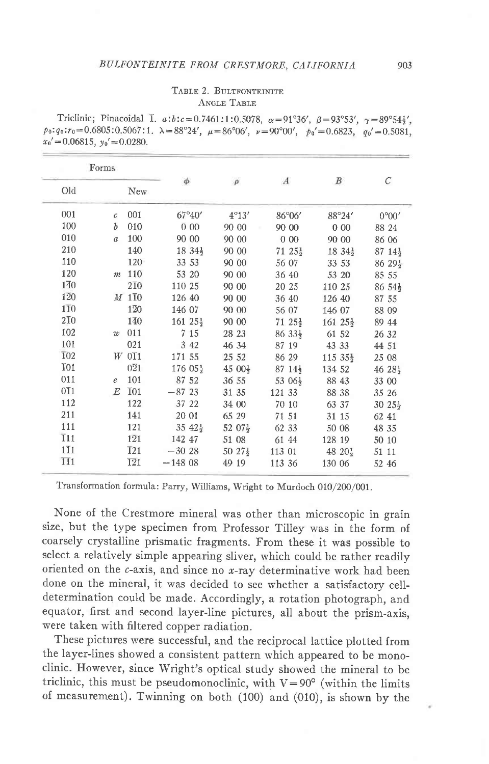# BULFONTEINITE FROM CRESTMORE, CALIFORNIA

### TABLE 2. BULTFONTEINITE **ANGLE TABLE**

Triclinic; Pinacoidal I.  $a:b:c=0.7461:1:0.5078$ ,  $\alpha=91^{\circ}36'$ ,  $\beta=93^{\circ}53'$ ,  $\gamma=89^{\circ}54\frac{1}{3}'$ .  $p_0:q_0: r_0 = 0.6805:0.5067:1$ .  $\lambda = 88^{\circ}24'$ ,  $\mu = 86^{\circ}06'$ ,  $\nu = 90^{\circ}00'$ ,  $p_0' = 0.6823$ ,  $q_0' = 0.5081$ ,  $x_0' = 0.06815$ ,  $y_0' = 0.0280$ .

|                  | Forms            |                  |                      |                     |                     |                      |                     |
|------------------|------------------|------------------|----------------------|---------------------|---------------------|----------------------|---------------------|
| Old              |                  | <b>New</b>       | $\phi$               | $\rho$              | $\boldsymbol{A}$    | B                    | С                   |
| 001              | $\epsilon$       | 001              | $67^{\circ}40'$      | $4^{\circ}13'$      | 86°06'              | 88°24'               | 0°00'               |
| 100              | Ъ                | 010              | 000                  | 90 00               | 90 00               | 000                  | 88 24               |
| 010              | $\mathfrak{a}$   | 100              | 90 00                | 90 00               | 000                 | 90 00                | 86 06               |
| 210              |                  | 140              | $1834\frac{1}{2}$    | 90 00               | $71\;25\frac{1}{2}$ | $18.34\frac{1}{2}$   | $87\;14\frac{1}{2}$ |
| 110              |                  | 120              | 33 53                | 90 00               | 56 07               | 33 53                | $86\;29\frac{1}{2}$ |
| 120              | $\boldsymbol{m}$ | 110              | 53 20                | 90 00               | 36 40               | 53 20                | 85 55               |
| 140              |                  | $2\overline{1}0$ | 110 25               | 90 00               | 20 25               | 110 25               | $86.54\frac{1}{2}$  |
| 120              |                  | M 110            | 126 40               | 90 00               | 36 40               | 126 40               | 87 55               |
| $1\overline{1}0$ |                  | $1\overline{2}0$ | 146 07               | 90 00               | 56 07               | 146 07               | 88 09               |
| $2\overline{1}0$ |                  | 140              | $161\;25\frac{1}{2}$ | 90 00               | $71\;25\frac{1}{2}$ | $161\;25\frac{1}{2}$ | 89 44               |
| 102              | $70^{\circ}$     | 011              | 7 15                 | 28 23               | 86 33}              | 61 52                | 26 32               |
| 101              |                  | 021              | 3 4 2                | 46 34               | 87 19               | 43 33                | 44 51               |
| $\overline{1}02$ |                  | $W$ OT1          | 171 55               | 25 52               | 86 29               | $115.35\frac{1}{2}$  | 25 08               |
| <b>TO1</b>       |                  | $0\overline{2}1$ | $176.05\frac{1}{2}$  | $4500\frac{1}{2}$   | $87\;14\frac{1}{2}$ | 134 52               | $46.28\frac{1}{2}$  |
| 011              | $\epsilon$       | 101              | 87 52                | 36 55               | 53 06 $\frac{1}{2}$ | 88 43                | 33 00               |
| $0\overline{1}1$ | E                | <b>T01</b>       | $-8723$              | 31 35               | 121 33              | 88 38                | 35 26               |
| 112              |                  | 122              | 37 22                | 34 00               | 70 10               | 63 37                | $30\;25\frac{1}{2}$ |
| 211              |                  | 141              | 20 01                | 65 29               | 71 51               | 31 15                | 62 41               |
| 111              |                  | 121              | $35\;42\frac{1}{2}$  | $52~07\frac{1}{2}$  | 62 33               | 50 08                | 48 35               |
| $\overline{1}11$ |                  | $1\overline{2}1$ | 142 47               | 51 08               | 61 44               | 128 19               | 50 10               |
| $1\overline{1}1$ |                  | $\overline{1}21$ | $-30.28$             | $50\;27\frac{1}{2}$ | 113 01              | $48\ 20\frac{1}{2}$  | 51 11               |
| <b>II1</b>       |                  | $\overline{121}$ | $-14808$             | 49 19               | 113 36              | 130 06               | 52 46               |

Transformation formula: Parry, Williams, Wright to Murdoch 010/200/001.

None of the Crestmore mineral was other than microscopic in grain size, but the type specimen from Professor Tilley was in the form of coarsely crystalline prismatic fragments. From these it was possible to select a relatively simple appearing sliver, which could be rather readily oriented on the  $c$ -axis, and since no x-ray determinative work had been done on the mineral, it was decided to see whether a satisfactory celldetermination could be made. Accordingly, a rotation photograph, and equator, first and second layer-line pictures, all about the prism-axis, were taken with filtered copper radiation.

These pictures were successful, and the reciprocal lattice plotted from the layer-lines showed a consistent pattern which appeared to be monoclinic. However, since Wright's optical study showed the mineral to be triclinic, this must be pseudomonoclinic, with  $V=90^{\circ}$  (within the limits of measurement). Twinning on both (100) and (010), is shown by the